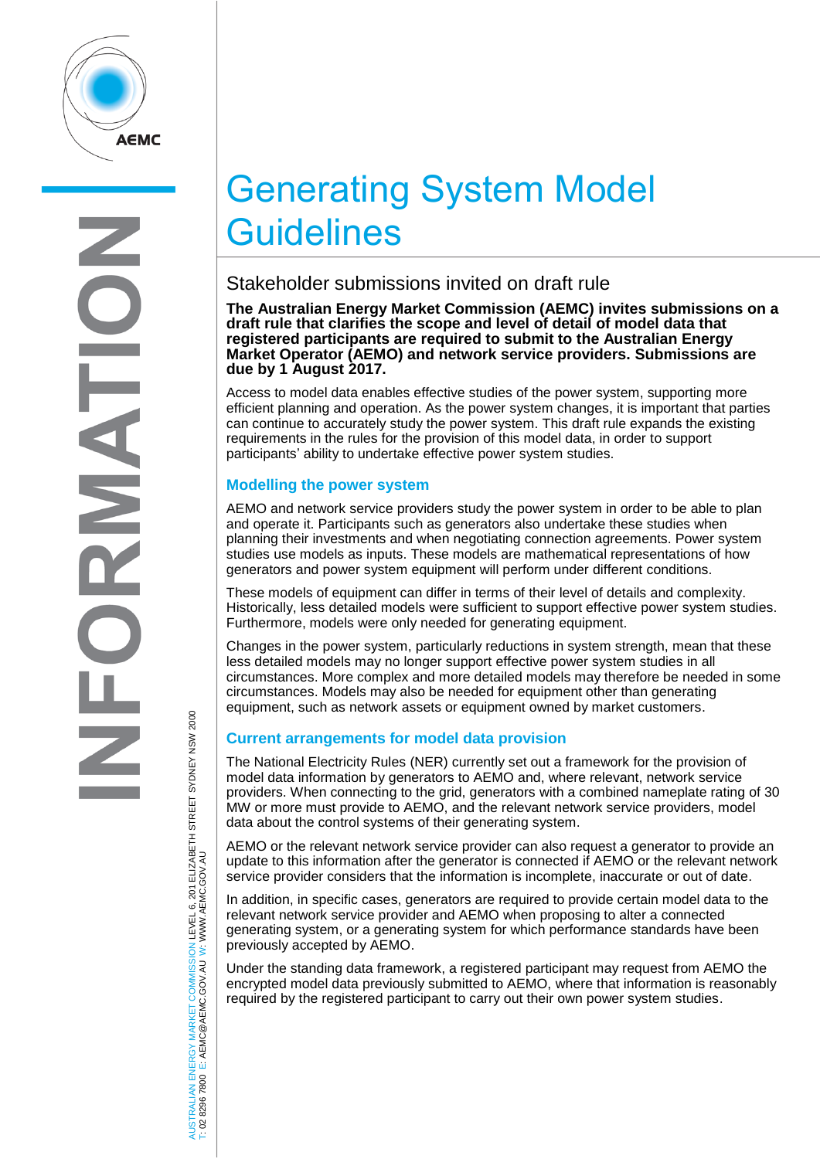

# Generating System Model **Guidelines**

## Stakeholder submissions invited on draft rule

**The Australian Energy Market Commission (AEMC) invites submissions on a draft rule that clarifies the scope and level of detail of model data that registered participants are required to submit to the Australian Energy Market Operator (AEMO) and network service providers. Submissions are due by 1 August 2017.**

Access to model data enables effective studies of the power system, supporting more efficient planning and operation. As the power system changes, it is important that parties can continue to accurately study the power system. This draft rule expands the existing requirements in the rules for the provision of this model data, in order to support participants' ability to undertake effective power system studies.

### **Modelling the power system**

AEMO and network service providers study the power system in order to be able to plan and operate it. Participants such as generators also undertake these studies when planning their investments and when negotiating connection agreements. Power system studies use models as inputs. These models are mathematical representations of how generators and power system equipment will perform under different conditions.

These models of equipment can differ in terms of their level of details and complexity. Historically, less detailed models were sufficient to support effective power system studies. Furthermore, models were only needed for generating equipment.

Changes in the power system, particularly reductions in system strength, mean that these less detailed models may no longer support effective power system studies in all circumstances. More complex and more detailed models may therefore be needed in some circumstances. Models may also be needed for equipment other than generating equipment, such as network assets or equipment owned by market customers.

#### **Current arrangements for model data provision**

The National Electricity Rules (NER) currently set out a framework for the provision of model data information by generators to AEMO and, where relevant, network service providers. When connecting to the grid, generators with a combined nameplate rating of 30 MW or more must provide to AEMO, and the relevant network service providers, model data about the control systems of their generating system.

AEMO or the relevant network service provider can also request a generator to provide an update to this information after the generator is connected if AEMO or the relevant network service provider considers that the information is incomplete, inaccurate or out of date.

In addition, in specific cases, generators are required to provide certain model data to the relevant network service provider and AEMO when proposing to alter a connected generating system, or a generating system for which performance standards have been previously accepted by AEMO.

Under the standing data framework, a registered participant may request from AEMO the encrypted model data previously submitted to AEMO, where that information is reasonably required by the registered participant to carry out their own power system studies.

AUSTRALIAN ENERGY MARKET COMMISSION LEVEL 6, 201 ELIZABETH STREET SYDNEY NSW 2000 AUSTRALIAN ENERGY MARKET COMMISSION LEVEL 6, 201 ELIZABETH STREET SYDNEY NSW 2000<br>T: 02 8296 7800 E: AEMC@AEMC.GOV.AU W: WWW.AEMC.GOV.AU W: WWW.AEMC.GOV.AU T: 02 8296 7800 E: AEMC@AEMC.GOV.AU